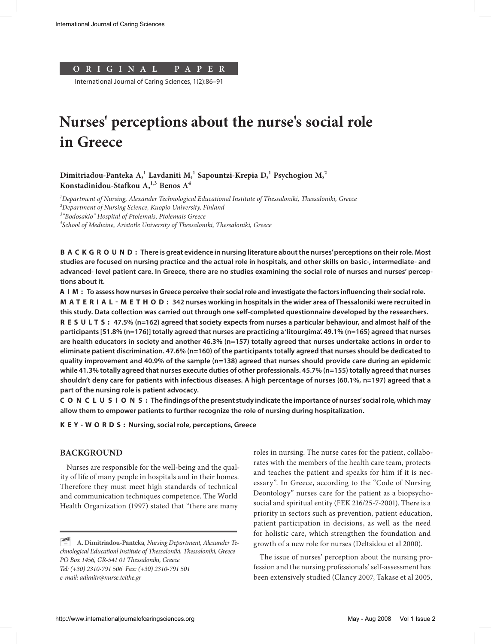

International Journal of Caring Sciences, 1(2):86–91

# **Nurses' perceptions about the nurse's social role in Greece**

**Dimitriadou-Panteka A,<sup>1</sup> Lavdaniti M,1 Sapountzi-Krepia D,<sup>1</sup> Psychogiou M,<sup>2</sup> Konstadinidou-Stafkou A,1,3 Benos A4**

*1 Department of Nursing, Alexander Technological Educational Institute of Thessaloniki, Thessaloniki, Greece*

*2 Department of Nursing Science, Kuopio University, Finland*

*3 "Bodosakio" Hospital of Ptolemais, Ptolemais Greece*

*4 School of Medicine, Aristotle University of Thessaloniki, Thessaloniki, Greece*

**B A C K G R O U N D :** There is great evidence in nursing literature about the nurses' perceptions on their role. Most **studies are focused on nursing practice and the actual role in hospitals, and other skills on basic-, intermediate- and advanced- level patient care. In Greece, there are no studies examining the social role of nurses and nurses' perceptions about it.**

**AIM: Τo assess how nurses in Greece perceive their social role and investigate the factors influencing their social role. MATERIAL-METHOD: 342 nurses working in hospitals in the wider area of Thessaloniki were recruited in this study. Data collection was carried out through one self-completed questionnaire developed by the researchers. R E S U LTS: 47.5% (n=162) agreed that society expects from nurses a particular behaviour, and almost half of the participants [51.8% (n=176)] totally agreed that nurses are practicing a 'litourgima'. 49.1% (n=165) agreed that nurses are health educators in society and another 46.3% (n=157) totally agreed that nurses undertake actions in order to eliminate patient discrimination. 47.6% (n=160) of the participants totally agreed that nurses should be dedicated to quality improvement and 40.9% of the sample (n=138) agreed that nurses should provide care during an epidemic while 41.3% totally agreed that nurses execute duties of other professionals. 45.7% (n=155) totally agreed that nurses shouldn't deny care for patients with infectious diseases. A high percentage of nurses (60.1%, n=197) agreed that a part of the nursing role is patient advocacy.**

**CONCLUSIONS: The findings of the present study indicate the importance of nurses' social role, which may allow them to empower patients to further recognize the role of nursing during hospitalization.**

**KEY-WORDS: Nursing, social role, perceptions, Greece**

# **BACKGROUND**

Nurses are responsible for the well-being and the quality of life of many people in hospitals and in their homes. Therefore they must meet high standards of technical and communication techniques competence. The World Health Organization (1997) stated that "there are many

roles in nursing. The nurse cares for the patient, collaborates with the members of the health care team, protects and teaches the patient and speaks for him if it is necessary". In Greece, according to the "Code of Nursing Deontology" nurses care for the patient as a biopsychosocial and spiritual entity (FEK 216/25-7-2001). There is a priority in sectors such as prevention, patient education, patient participation in decisions, as well as the need for holistic care, which strengthen the foundation and growth of a new role for nurses (Deltsidou et al 2000).

The issue of nurses' perception about the nursing profession and the nursing professionals' self-assessment has been extensively studied (Clancy 2007, Takase et al 2005,

<sup>~</sup> **A. Dimitriadou-Panteka***, Nursing Department, Alexander Technological Educationl Institute of Thessaloniki, Thessaloniki, Greece PO Box 1456, GR-541 01 Thessaloniki, Greece Tel: (+30) 2310-791 506 Fax: (+30) 2310-791 501 e-mail: adimitr@nurse.teithe.gr*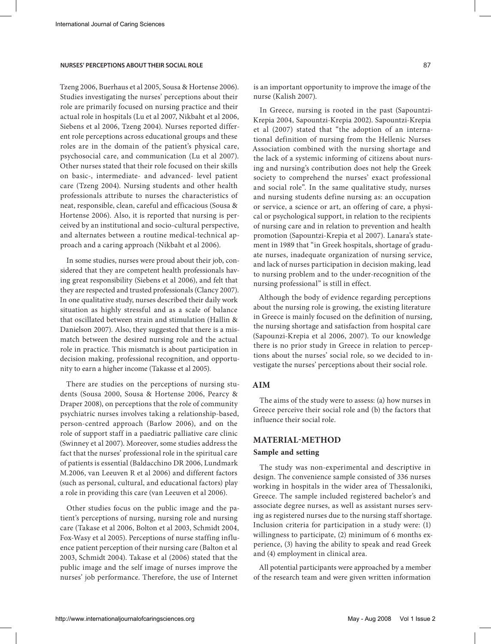# **NURSES' PERCEPTIONS ABOUT THEIR SOCIAL ROLE** 87

Tzeng 2006, Buerhaus et al 2005, Sousa & Hortense 2006). Studies investigating the nurses' perceptions about their role are primarily focused on nursing practice and their actual role in hospitals (Lu et al 2007, Nikbaht et al 2006, Siebens et al 2006, Tzeng 2004). Nurses reported different role perceptions across educational groups and these roles are in the domain of the patient's physical care, psychosocial care, and communication (Lu et al 2007). Other nurses stated that their role focused on their skills on basic-, intermediate- and advanced- level patient care (Tzeng 2004). Nursing students and other health professionals attribute to nurses the characteristics of neat, responsible, clean, careful and efficacious (Sousa & Hortense 2006). Also, it is reported that nursing is perceived by an institutional and socio-cultural perspective, and alternates between a routine medical-technical approach and a caring approach (Nikbaht et al 2006).

In some studies, nurses were proud about their job, considered that they are competent health professionals having great responsibility (Siebens et al 2006), and felt that they are respected and trusted professionals (Clancy 2007). In one qualitative study, nurses described their daily work situation as highly stressful and as a scale of balance that oscillated between strain and stimulation (Hallin & Danielson 2007). Also, they suggested that there is a mismatch between the desired nursing role and the actual role in practice. This mismatch is about participation in decision making, professional recognition, and opportunity to earn a higher income (Takasse et al 2005).

There are studies on the perceptions of nursing students (Sousa 2000, Sousa & Hortense 2006, Pearcy & Draper 2008), on perceptions that the role of community psychiatric nurses involves taking a relationship-based, person-centred approach (Barlow 2006), and on the role of support staff in a paediatric palliative care clinic (Swinney et al 2007). Moreover, some studies address the fact that the nurses' professional role in the spiritual care of patients is essential (Baldacchino DR 2006, Lundmark M.2006, van Leeuven R et al 2006) and different factors (such as personal, cultural, and educational factors) play a role in providing this care (van Leeuven et al 2006).

Other studies focus on the public image and the patient's perceptions of nursing, nursing role and nursing care (Takase et al 2006, Bolton et al 2003, Schmidt 2004, Fox-Wasy et al 2005). Perceptions of nurse staffing influence patient perception of their nursing care (Balton et al 2003, Schmidt 2004). Takase et al (2006) stated that the public image and the self image of nurses improve the nurses' job performance. Therefore, the use of Internet

is an important opportunity to improve the image of the nurse (Kalish 2007).

In Greece, nursing is rooted in the past (Sapountzi-Krepia 2004, Sapountzi-Krepia 2002). Sapountzi-Krepia et al (2007) stated that "the adoption of an international definition of nursing from the Hellenic Nurses Association combined with the nursing shortage and the lack of a systemic informing of citizens about nursing and nursing's contribution does not help the Greek society to comprehend the nurses' exact professional and social role". In the same qualitative study, nurses and nursing students define nursing as: an occupation or service, a science or art, an offering of care, a physical or psychological support, in relation to the recipients of nursing care and in relation to prevention and health promotion (Sapountzi-Krepia et al 2007). Lanara's statement in 1989 that "in Greek hospitals, shortage of graduate nurses, inadequate organization of nursing service, and lack of nurses participation in decision making, lead to nursing problem and to the under-recognition of the nursing professional" is still in effect.

Although the body of evidence regarding perceptions about the nursing role is growing, the existing literature in Greece is mainly focused on the definition of nursing, the nursing shortage and satisfaction from hospital care (Sapounzi-Krepia et al 2006, 2007). To our knowledge there is no prior study in Greece in relation to perceptions about the nurses' social role, so we decided to investigate the nurses' perceptions about their social role.

# **AIM**

The aims of the study were to assess: (a) how nurses in Greece perceive their social role and (b) the factors that influence their social role.

## **MATERIAL-METHOD**

## **Sample and setting**

The study was non-experimental and descriptive in design. The convenience sample consisted of 336 nurses working in hospitals in the wider area of Thessaloniki, Greece. The sample included registered bachelor's and associate degree nurses, as well as assistant nurses serving as registered nurses due to the nursing staff shortage. Inclusion criteria for participation in a study were: (1) willingness to participate, (2) minimum of 6 months experience, (3) having the ability to speak and read Greek and (4) employment in clinical area.

All potential participants were approached by a member of the research team and were given written information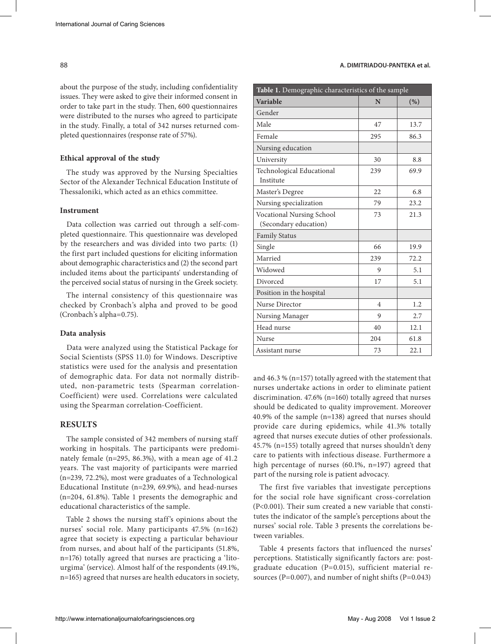about the purpose of the study, including confidentiality issues. They were asked to give their informed consent in order to take part in the study. Then, 600 questionnaires were distributed to the nurses who agreed to participate in the study. Finally, a total of 342 nurses returned completed questionnaires (response rate of 57%).

#### **Ethical approval of the study**

The study was approved by the Nursing Specialties Sector of the Alexander Technical Education Institute of Thessaloniki, which acted as an ethics committee.

# **Instrument**

Data collection was carried out through a self-completed questionnaire. This questionnaire was developed by the researchers and was divided into two parts: (1) the first part included questions for eliciting information about demographic characteristics and (2) the second part included items about the participants' understanding of the perceived social status of nursing in the Greek society.

The internal consistency of this questionnaire was checked by Cronbach's alpha and proved to be good (Cronbach's alpha=0.75).

#### **Data analysis**

Data were analyzed using the Statistical Package for Social Scientists (SPSS 11.0) for Windows. Descriptive statistics were used for the analysis and presentation of demographic data. For data not normally distributed, non-parametric tests (Spearman correlation-Coefficient) were used. Correlations were calculated using the Spearman correlation-Coefficient.

#### **RESULTS**

The sample consisted of 342 members of nursing staff working in hospitals. The participants were predominately female (n=295, 86.3%), with a mean age of 41.2 years. The vast majority of participants were married (n=239, 72.2%), most were graduates of a Technological Educational Institute (n=239, 69.9%), and head-nurses (n=204, 61.8%). Table 1 presents the demographic and educational characteristics of the sample.

Table 2 shows the nursing staff's opinions about the nurses' social role. Many participants 47.5% (n=162) agree that society is expecting a particular behaviour from nurses, and about half of the participants (51.8%, n=176) totally agreed that nurses are practicing a 'litourgima' (service). Almost half of the respondents (49.1%, n=165) agreed that nurses are health educators in society,

## 88 **A. DIMITRIADOU-PANTEKA et al.**

| Table 1. Demographic characteristics of the sample |     |      |  |  |
|----------------------------------------------------|-----|------|--|--|
| Variable                                           | N   | (% ) |  |  |
| Gender                                             |     |      |  |  |
| Male                                               | 47  | 13.7 |  |  |
| Female                                             | 295 | 86.3 |  |  |
| Nursing education                                  |     |      |  |  |
| University                                         | 30  | 8.8  |  |  |
| Technological Educational<br>Institute             | 239 | 69.9 |  |  |
| Master's Degree                                    | 22  | 6.8  |  |  |
| Nursing specialization                             | 79  | 23.2 |  |  |
| Vocational Nursing School<br>(Secondary education) | 73  | 21.3 |  |  |
| <b>Family Status</b>                               |     |      |  |  |
| Single                                             | 66  | 19.9 |  |  |
| Married                                            | 239 | 72.2 |  |  |
| Widowed                                            | 9   | 5.1  |  |  |
| Divorced                                           | 17  | 5.1  |  |  |
| Position in the hospital                           |     |      |  |  |
| Nurse Director                                     | 4   | 1.2  |  |  |
| Nursing Manager                                    | 9   | 2.7  |  |  |
| Head nurse                                         | 40  | 12.1 |  |  |
| Nurse                                              | 204 | 61.8 |  |  |
| Assistant nurse                                    | 73  | 22.1 |  |  |

and 46.3 % (n=157) totally agreed with the statement that nurses undertake actions in order to eliminate patient discrimination. 47.6% (n=160) totally agreed that nurses should be dedicated to quality improvement. Moreover 40.9% of the sample (n=138) agreed that nurses should provide care during epidemics, while 41.3% totally agreed that nurses execute duties of other professionals. 45.7% (n=155) totally agreed that nurses shouldn't deny care to patients with infectious disease. Furthermore a high percentage of nurses (60.1%, n=197) agreed that part of the nursing role is patient advocacy.

The first five variables that investigate perceptions for the social role have significant cross-correlation (P<0.001). Their sum created a new variable that constitutes the indicator of the sample's perceptions about the nurses' social role. Table 3 presents the correlations between variables.

Table 4 presents factors that influenced the nurses' perceptions. Statistically significantly factors are: postgraduate education (P=0.015), sufficient material resources (P=0.007), and number of night shifts (P=0.043)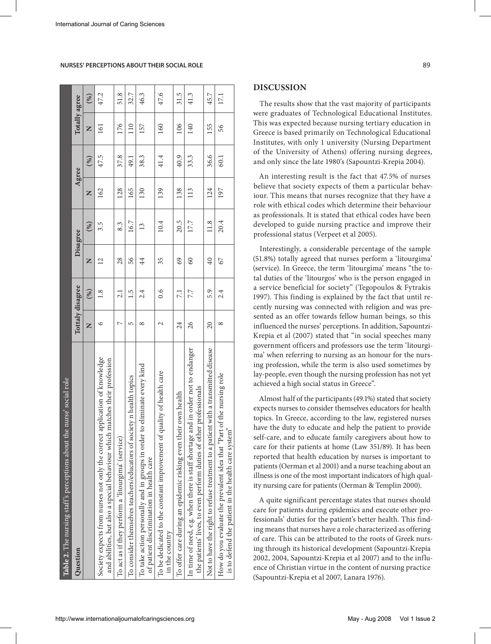| Table 2. The nursing staff's perceptions about the nurse' social role                                                                                      |                 |                  |                 |          |       |      |               |        |
|------------------------------------------------------------------------------------------------------------------------------------------------------------|-----------------|------------------|-----------------|----------|-------|------|---------------|--------|
| Question                                                                                                                                                   |                 | Tottaly disagree |                 | Disagree | Agree |      | Totally agree |        |
|                                                                                                                                                            | Z               | (%)              | Z               | (%)      | Z     | (%)  | Z             | $(\%)$ |
| Society expects from nurses not only the correct application of knowledge<br>matches their profession<br>and abilities, but also a special behaviour which | ৩               | $\frac{8}{1}$    | $\overline{2}$  | 3.5      | 162   | 47.5 | 161           | 47.2   |
| To act as if they perform a 'litourgima' (service)                                                                                                         | Ņ               | 2.1              | 28              | 8.3      | 128   | 37.8 | 176           | 51.8   |
| To consider themselves teachers/educators of society n health topics                                                                                       | 5               | 1.5              | 56              | 16.7     | 165   | 49.1 | 110           | 32.7   |
| to eliminate every kind<br>To take action personally and in groups in order t<br>of patient discrimination in health care                                  | ∞               | 2.4              | $\overline{4}$  | 13       | 130   | 38.3 | 157           | 46.3   |
| To be dedicated to the constant improvement of quality of health care<br>in the country                                                                    | 2               | $\sim 0$         | 35              | 10.4     | 139   | 41.4 | 160           | 47.6   |
| To offer care during an epidemic risking even their own health                                                                                             | 24              | 7.1              | 69              | 20.5     | 138   | 40.9 | 106           | 31.5   |
| In time of need, e.g. when there is staff shortage and in order not to endanger<br>the patients' lives, to even perform duties of other professionals      | 26              | 7.7              | 60              | 17.7     | 113   | 33.3 | 140           | 41.3   |
| Not to have the right to refuse treatment to a patient with a transmitted disease                                                                          | $\overline{20}$ | 5.9              | $\overline{40}$ | 11.8     | 124   | 36.6 | 155           | 45.7   |
| How do you evaluate the prevalent idea that "Part of the nursing role<br>is to defend the patient in the health care system'                               | ∞               | 2.4              | 67              | 20.4     | 197   | 60.1 | 56            | 17.1   |

## **NURSES' PERCEPTIONS ABOUT THEIR SOCIAL ROLE** 89

#### **DISCUSSION**

The results show that the vast majority of participants were graduates of Technological Educational Institutes. This was expected because nursing tertiary education in Greece is based primarily on Technological Educational Institutes, with only 1 university (Nursing Department of the University of Athens) offering nursing degrees, and only since the late 1980's (Sapountzi-Krepia 2004).

An interesting result is the fact that 47.5% of nurses believe that society expects of them a particular behaviour. This means that nurses recognize that they have a role with ethical codes which determine their behaviour as professionals. It is stated that ethical codes have been developed to guide nursing practice and improve their professional status (Verpeet et al 2005).

Interestingly, a considerable percentage of the sample (51.8%) totally agreed that nurses perform a 'litourgima' (service). In Greece, the term 'litourgima' means "the total duties of the 'litourgos' who is the person engaged in a service beneficial for society" (Tegopoulos & Fytrakis 1997). This finding is explained by the fact that until recently nursing was connected with religion and was presented as an offer towards fellow human beings, so this influenced the nurses' perceptions. In addition, Sapountzi-Krepia et al (2007) stated that "in social speeches many government officers and professors use the term 'litourgima' when referring to nursing as an honour for the nursing profession, while the term is also used sometimes by lay-people, even though the nursing profession has not yet achieved a high social status in Greece".

Almost half of the participants (49.1%) stated that society expects nurses to consider themselves educators for health topics. In Greece, according to the law, registered nurses have the duty to educate and help the patient to provide self-care, and to educate family caregivers about how to care for their patients at home (Law 351/89). It has been reported that health education by nurses is important to patients (Oerman et al 2001) and a nurse teaching about an illness is one of the most important indicators of high quality nursing care for patients (Oerman & Templin 2000).

A quite significant percentage states that nurses should care for patients during epidemics and execute other professionals' duties for the patient's better health. This finding means that nurses have a role characterized as offering of care. This can be attributed to the roots of Greek nursing through its historical development (Sapountzi-Krepia 2002, 2004, Sapountzi-Krepia et al 2007) and to the influence of Christian virtue in the content of nursing practice (Sapountzi-Krepia et al 2007, Lanara 1976).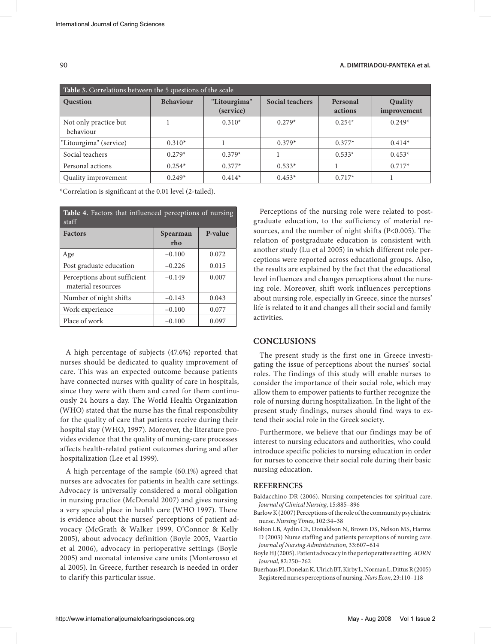## 90 **A. DIMITRIADOU-PANTEKA et al.**

| Table 3. Correlations between the 5 questions of the scale |                  |                           |                 |                     |                        |
|------------------------------------------------------------|------------------|---------------------------|-----------------|---------------------|------------------------|
| <b>Question</b>                                            | <b>Behaviour</b> | "Litourgima"<br>(service) | Social teachers | Personal<br>actions | Quality<br>improvement |
| Not only practice but<br>behaviour                         |                  | $0.310*$                  | $0.279*$        | $0.254*$            | $0.249*$               |
| "Litourgima" (service)                                     | $0.310*$         |                           | $0.379*$        | $0.377*$            | $0.414*$               |
| Social teachers                                            | $0.279*$         | $0.379*$                  |                 | $0.533*$            | $0.453*$               |
| Personal actions                                           | $0.254*$         | $0.377*$                  | $0.533*$        |                     | $0.717*$               |
| Quality improvement                                        | $0.249*$         | $0.414*$                  | $0.453*$        | $0.717*$            |                        |

\*Correlation is significant at the 0.01 level (2-tailed).

| Table 4. Factors that influenced perceptions of nursing<br>staff |                 |         |  |  |  |
|------------------------------------------------------------------|-----------------|---------|--|--|--|
| <b>Factors</b>                                                   | Spearman<br>rho | P-value |  |  |  |
| Age                                                              | $-0.100$        | 0.072   |  |  |  |
| Post graduate education                                          | $-0.226$        | 0.015   |  |  |  |
| Perceptions about sufficient<br>material resources               | $-0.149$        | 0.007   |  |  |  |
| Number of night shifts                                           | $-0.143$        | 0.043   |  |  |  |
| Work experience                                                  | $-0.100$        | 0.077   |  |  |  |
| Place of work                                                    | $-0.100$        | 0.097   |  |  |  |

A high percentage of subjects (47.6%) reported that nurses should be dedicated to quality improvement of care. This was an expected outcome because patients have connected nurses with quality of care in hospitals, since they were with them and cared for them continuously 24 hours a day. The World Health Organization (WHO) stated that the nurse has the final responsibility for the quality of care that patients receive during their hospital stay (WHO, 1997). Moreover, the literature provides evidence that the quality of nursing-care processes affects health-related patient outcomes during and after hospitalization (Lee et al 1999).

A high percentage of the sample (60.1%) agreed that nurses are advocates for patients in health care settings. Advocacy is universally considered a moral obligation in nursing practice (McDonald 2007) and gives nursing a very special place in health care (WHO 1997). There is evidence about the nurses' perceptions of patient advocacy (McGrath & Walker 1999, O'Connor & Kelly 2005), about advocacy definition (Boyle 2005, Vaartio et al 2006), advocacy in perioperative settings (Boyle 2005) and neonatal intensive care units (Monterosso et al 2005). In Greece, further research is needed in order to clarify this particular issue.

Perceptions of the nursing role were related to postgraduate education, to the sufficiency of material resources, and the number of night shifts (P<0.005). The relation of postgraduate education is consistent with another study (Lu et al 2005) in which different role perceptions were reported across educational groups. Also, the results are explained by the fact that the educational level influences and changes perceptions about the nursing role. Moreover, shift work influences perceptions about nursing role, especially in Greece, since the nurses' life is related to it and changes all their social and family activities.

# **CONCLUSIONS**

The present study is the first one in Greece investigating the issue of perceptions about the nurses' social roles. The findings of this study will enable nurses to consider the importance of their social role, which may allow them to empower patients to further recognize the role of nursing during hospitalization. In the light of the present study findings, nurses should find ways to extend their social role in the Greek society.

Furthermore, we believe that our findings may be of interest to nursing educators and authorities, who could introduce specific policies to nursing education in order for nurses to conceive their social role during their basic nursing education.

## **REFERENCES**

- Baldacchino DR (2006). Nursing competencies for spiritual care. *Journal of Clinical Nursing*, 15:885–896
- Barlow K (2007) Perceptions of the role of the community psychiatric nurse. *Nursing Times*, 102:34–38
- Bolton LB, Aydin CE, Donaldson N, Brown DS, Nelson MS, Harms D (2003) Nurse staffing and patients perceptions of nursing care. *Journal of Nursing Administration*, 33:607–614
- Boyle HJ (2005). Patient advocacy in the perioperative setting. *AORN Journal*, 82:250–262
- Buerhaus PI, Donelan K, Ulrich BT, Kirby L, Norman L, Dittus R (2005) Registered nurses perceptions of nursing. *Nurs Econ*, 23:110–118